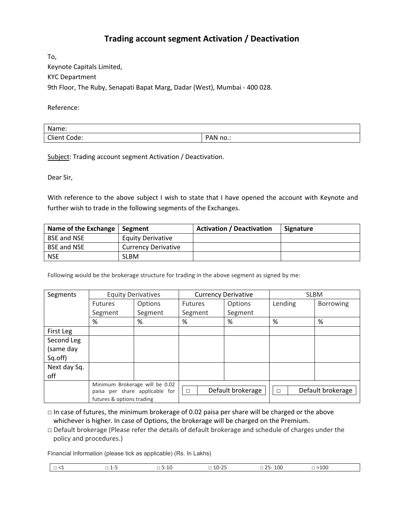## **Trading account segment Activation / Deactivation**

To, Keynote Capitals Limited, KYC Department 9th Floor, The Ruby, Senapati Bapat Marg, Dadar (West), Mumbai - 400 028.

Reference:

| Name:           |          |
|-----------------|----------|
| Client<br>Code: | `AN no.: |

Subject: Trading account segment Activation / Deactivation.

Dear Sir,

With reference to the above subject I wish to state that I have opened the account with Keynote and further wish to trade in the following segments of the Exchanges.

| Name of the Exchange   Segment |                            | <b>Activation / Deactivation</b> | Signature |
|--------------------------------|----------------------------|----------------------------------|-----------|
| <b>BSE and NSE</b>             | <b>Equity Derivative</b>   |                                  |           |
| <b>BSE and NSE</b>             | <b>Currency Derivative</b> |                                  |           |
| NSE                            | SLBM                       |                                  |           |

Following would be the brokerage structure for trading in the above segment as signed by me:

| Segments     |                           | <b>Equity Derivatives</b>      | <b>Currency Derivative</b> |                   | <b>SLBM</b> |                   |
|--------------|---------------------------|--------------------------------|----------------------------|-------------------|-------------|-------------------|
|              | <b>Futures</b>            | Options                        | <b>Futures</b>             | Options           | Lending     | <b>Borrowing</b>  |
|              | Segment                   | Segment                        | Segment                    | Segment           |             |                   |
|              | %                         | %                              | %                          | %                 | %           | %                 |
| First Leg    |                           |                                |                            |                   |             |                   |
| Second Leg   |                           |                                |                            |                   |             |                   |
| (same day    |                           |                                |                            |                   |             |                   |
| Sq.off)      |                           |                                |                            |                   |             |                   |
| Next day Sq. |                           |                                |                            |                   |             |                   |
| off          |                           |                                |                            |                   |             |                   |
|              |                           | Minimum Brokerage will be 0.02 |                            |                   |             |                   |
|              |                           | paisa per share applicable for | $\Box$                     | Default brokerage | □           | Default brokerage |
|              | futures & options trading |                                |                            |                   |             |                   |

 $\Box$  In case of futures, the minimum brokerage of 0.02 paisa per share will be charged or the above whichever is higher. In case of Options, the brokerage will be charged on the Premium.

□ Default brokerage (Please refer the details of default brokerage and schedule of charges under the policy and procedures.)

Financial Information (please tick as applicable) (Rs. In Lakhs)

|  | $\sim$<br>一 |  | - | __ | -00<br>__<br>____ | ·10C<br>$ -$ |  |
|--|-------------|--|---|----|-------------------|--------------|--|
|--|-------------|--|---|----|-------------------|--------------|--|